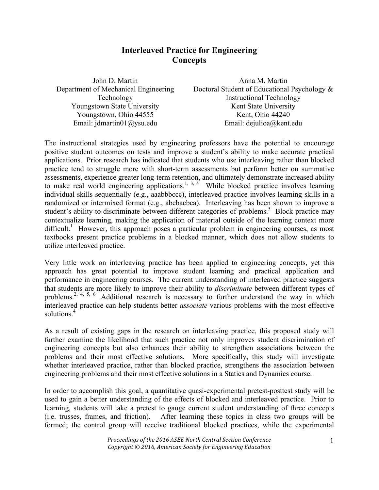## **Interleaved Practice for Engineering Concepts**

| John D. Martin                        | Anna M. Martin                               |
|---------------------------------------|----------------------------------------------|
| Department of Mechanical Engineering  | Doctoral Student of Educational Psychology & |
| Technology                            | <b>Instructional Technology</b>              |
| Youngstown State University           | Kent State University                        |
| Youngstown, Ohio 44555                | Kent, Ohio 44240                             |
| Email: $\text{idmartin01}(a)$ ysu.edu | Email: dejulioa@kent.edu                     |

The instructional strategies used by engineering professors have the potential to encourage positive student outcomes on tests and improve a student's ability to make accurate practical applications. Prior research has indicated that students who use interleaving rather than blocked practice tend to struggle more with short-term assessments but perform better on summative assessments, experience greater long-term retention, and ultimately demonstrate increased ability to make real world engineering applications.<sup>1, 3, 4</sup> While blocked practice involves learning individual skills sequentially (e.g., aaabbbccc), interleaved practice involves learning skills in a randomized or intermixed format (e.g., abcbacbca). Interleaving has been shown to improve a student's ability to discriminate between different categories of problems.<sup>5</sup> Block practice may contextualize learning, making the application of material outside of the learning context more difficult.<sup>1</sup> However, this approach poses a particular problem in engineering courses, as most textbooks present practice problems in a blocked manner, which does not allow students to utilize interleaved practice.

Very little work on interleaving practice has been applied to engineering concepts, yet this approach has great potential to improve student learning and practical application and performance in engineering courses. The current understanding of interleaved practice suggests that students are more likely to improve their ability to *discriminate* between different types of problems.<sup>2, 4, 5, 6</sup> Additional research is necessary to further understand the way in which interleaved practice can help students better *associate* various problems with the most effective solutions. 4

As a result of existing gaps in the research on interleaving practice, this proposed study will further examine the likelihood that such practice not only improves student discrimination of engineering concepts but also enhances their ability to strengthen associations between the problems and their most effective solutions. More specifically, this study will investigate whether interleaved practice, rather than blocked practice, strengthens the association between engineering problems and their most effective solutions in a Statics and Dynamics course.

In order to accomplish this goal, a quantitative quasi-experimental pretest-posttest study will be used to gain a better understanding of the effects of blocked and interleaved practice. Prior to learning, students will take a pretest to gauge current student understanding of three concepts (i.e. trusses, frames, and friction). After learning these topics in class two groups will be formed; the control group will receive traditional blocked practices, while the experimental

> *Proceedings of the 2016 ASEE North Central Section Conference Copyright*  $\textcircled{}$  2016, American Society for Engineering Education